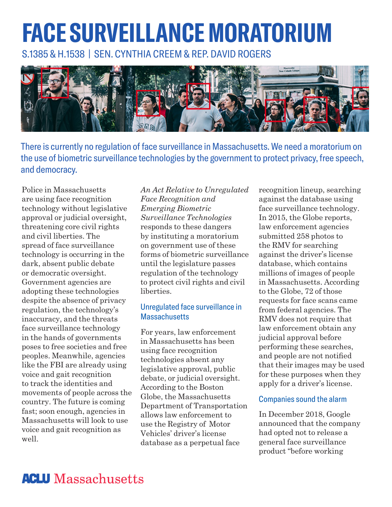# **FACE SURVEILLANCE MORATORIUM**

S.1385 & H.1538 | SEN. CYNTHIA CREEM & REP. DAVID ROGERS



There is currently no regulation of face surveillance in Massachusetts. We need a moratorium on the use of biometric surveillance technologies by the government to protect privacy, free speech, and democracy.

Police in Massachusetts are using face recognition technology without legislative approval or judicial oversight, threatening core civil rights and civil liberties. The spread of face surveillance technology is occurring in the dark, absent public debate or democratic oversight. Government agencies are adopting these technologies despite the absence of privacy regulation, the technology's inaccuracy, and the threats face surveillance technology in the hands of governments poses to free societies and free peoples. Meanwhile, agencies like the FBI are already using voice and gait recognition to track the identities and movements of people across the country. The future is coming fast; soon enough, agencies in Massachusetts will look to use voice and gait recognition as well.

*An Act Relative to Unregulated Face Recognition and Emerging Biometric Surveillance Technologies* responds to these dangers by instituting a moratorium on government use of these forms of biometric surveillance until the legislature passes regulation of the technology to protect civil rights and civil liberties.

### Unregulated face surveillance in **Massachusetts**

For years, law enforcement in Massachusetts has been using face recognition technologies absent any legislative approval, public debate, or judicial oversight. According to the Boston Globe, the Massachusetts Department of Transportation allows law enforcement to use the Registry of Motor Vehicles' driver's license database as a perpetual face

recognition lineup, searching against the database using face surveillance technology. In 2015, the Globe reports, law enforcement agencies submitted 258 photos to the RMV for searching against the driver's license database, which contains millions of images of people in Massachusetts. According to the Globe, 72 of those requests for face scans came from federal agencies. The RMV does not require that law enforcement obtain any judicial approval before performing these searches, and people are not notified that their images may be used for these purposes when they apply for a driver's license.

### Companies sound the alarm

In December 2018, Google announced that the company had opted not to release a general face surveillance product "before working